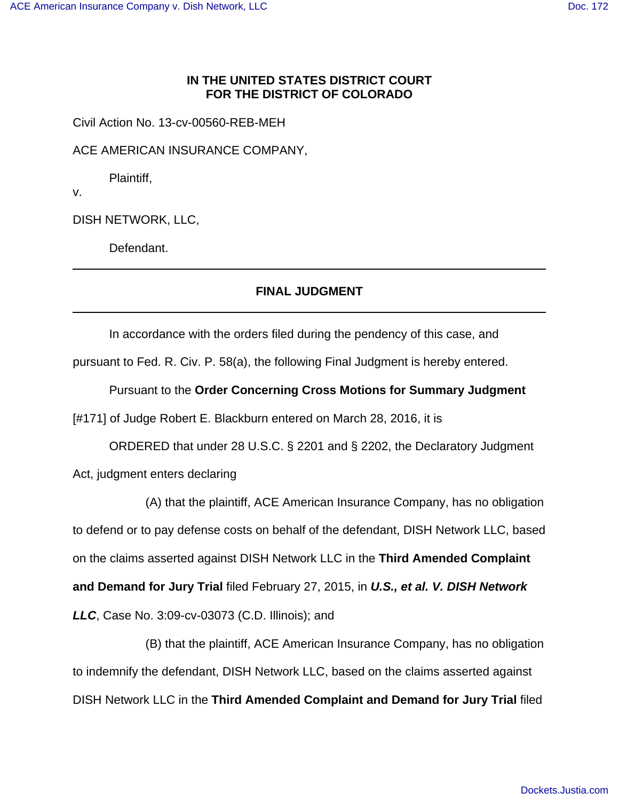## **IN THE UNITED STATES DISTRICT COURT FOR THE DISTRICT OF COLORADO**

Civil Action No. 13-cv-00560-REB-MEH

ACE AMERICAN INSURANCE COMPANY,

Plaintiff,

v.

DISH NETWORK, LLC,

Defendant.

## **FINAL JUDGMENT**

In accordance with the orders filed during the pendency of this case, and

pursuant to Fed. R. Civ. P. 58(a), the following Final Judgment is hereby entered.

Pursuant to the **Order Concerning Cross Motions for Summary Judgment**

[#171] of Judge Robert E. Blackburn entered on March 28, 2016, it is

ORDERED that under 28 U.S.C. § 2201 and § 2202, the Declaratory Judgment Act, judgment enters declaring

(A) that the plaintiff, ACE American Insurance Company, has no obligation to defend or to pay defense costs on behalf of the defendant, DISH Network LLC, based on the claims asserted against DISH Network LLC in the **Third Amended Complaint and Demand for Jury Trial** filed February 27, 2015, in **U.S., et al. V. DISH Network LLC**, Case No. 3:09-cv-03073 (C.D. Illinois); and

(B) that the plaintiff, ACE American Insurance Company, has no obligation to indemnify the defendant, DISH Network LLC, based on the claims asserted against DISH Network LLC in the **Third Amended Complaint and Demand for Jury Trial** filed